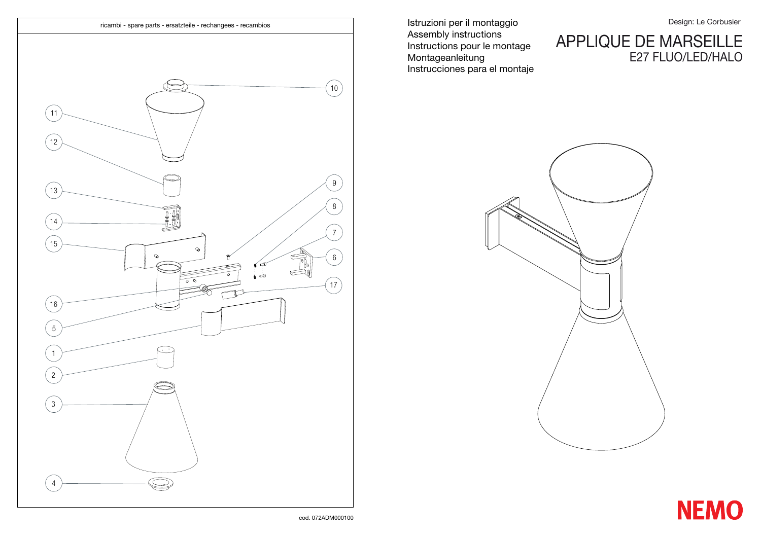## APPLIQUE DE MARSEILLE E27 FLUO/LED/HALO



cod. 072ADM000100



Istruzioni per il montaggio Assembly instructions Instructions pour le montage Montageanleitung Instrucciones para el montaje